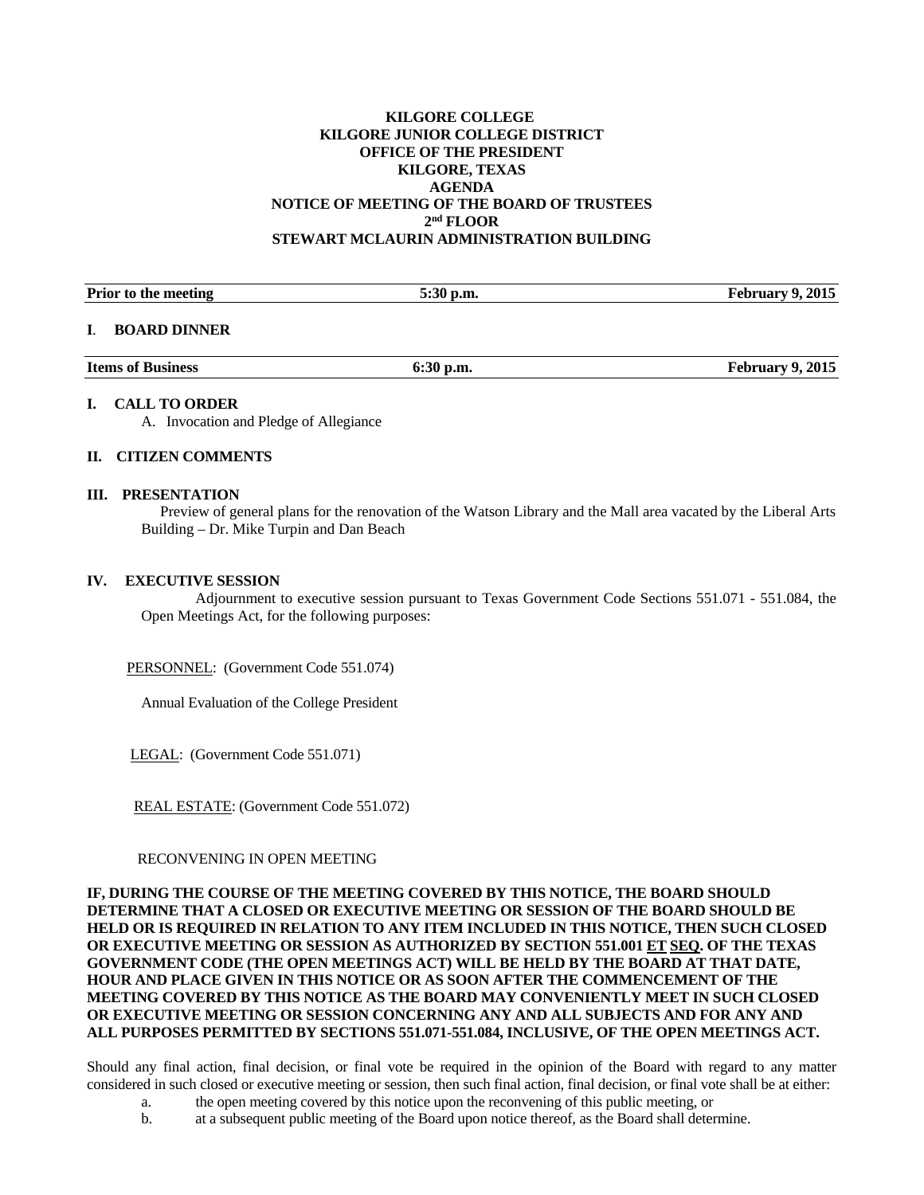#### **KILGORE COLLEGE KILGORE JUNIOR COLLEGE DISTRICT OFFICE OF THE PRESIDENT KILGORE, TEXAS AGENDA NOTICE OF MEETING OF THE BOARD OF TRUSTEES 2nd FLOOR STEWART MCLAURIN ADMINISTRATION BUILDING**

| Prior to the meeting     | $5:30$ p.m. | <b>February 9, 2015</b> |
|--------------------------|-------------|-------------------------|
| I. BOARD DINNER          |             |                         |
| <b>Items of Business</b> | $6:30$ p.m. | <b>February 9, 2015</b> |
| I. CALL TO ORDER         |             |                         |

A. Invocation and Pledge of Allegiance

#### **II. CITIZEN COMMENTS**

#### **III. PRESENTATION**

 Preview of general plans for the renovation of the Watson Library and the Mall area vacated by the Liberal Arts Building – Dr. Mike Turpin and Dan Beach

#### **IV. EXECUTIVE SESSION**

 Adjournment to executive session pursuant to Texas Government Code Sections 551.071 - 551.084, the Open Meetings Act, for the following purposes:

PERSONNEL: (Government Code 551.074)

Annual Evaluation of the College President

LEGAL: (Government Code 551.071)

REAL ESTATE: (Government Code 551.072)

RECONVENING IN OPEN MEETING

**IF, DURING THE COURSE OF THE MEETING COVERED BY THIS NOTICE, THE BOARD SHOULD DETERMINE THAT A CLOSED OR EXECUTIVE MEETING OR SESSION OF THE BOARD SHOULD BE HELD OR IS REQUIRED IN RELATION TO ANY ITEM INCLUDED IN THIS NOTICE, THEN SUCH CLOSED OR EXECUTIVE MEETING OR SESSION AS AUTHORIZED BY SECTION 551.001 ET SEQ. OF THE TEXAS GOVERNMENT CODE (THE OPEN MEETINGS ACT) WILL BE HELD BY THE BOARD AT THAT DATE, HOUR AND PLACE GIVEN IN THIS NOTICE OR AS SOON AFTER THE COMMENCEMENT OF THE MEETING COVERED BY THIS NOTICE AS THE BOARD MAY CONVENIENTLY MEET IN SUCH CLOSED OR EXECUTIVE MEETING OR SESSION CONCERNING ANY AND ALL SUBJECTS AND FOR ANY AND ALL PURPOSES PERMITTED BY SECTIONS 551.071-551.084, INCLUSIVE, OF THE OPEN MEETINGS ACT.** 

Should any final action, final decision, or final vote be required in the opinion of the Board with regard to any matter considered in such closed or executive meeting or session, then such final action, final decision, or final vote shall be at either:

- a. the open meeting covered by this notice upon the reconvening of this public meeting, or
- b. at a subsequent public meeting of the Board upon notice thereof, as the Board shall determine.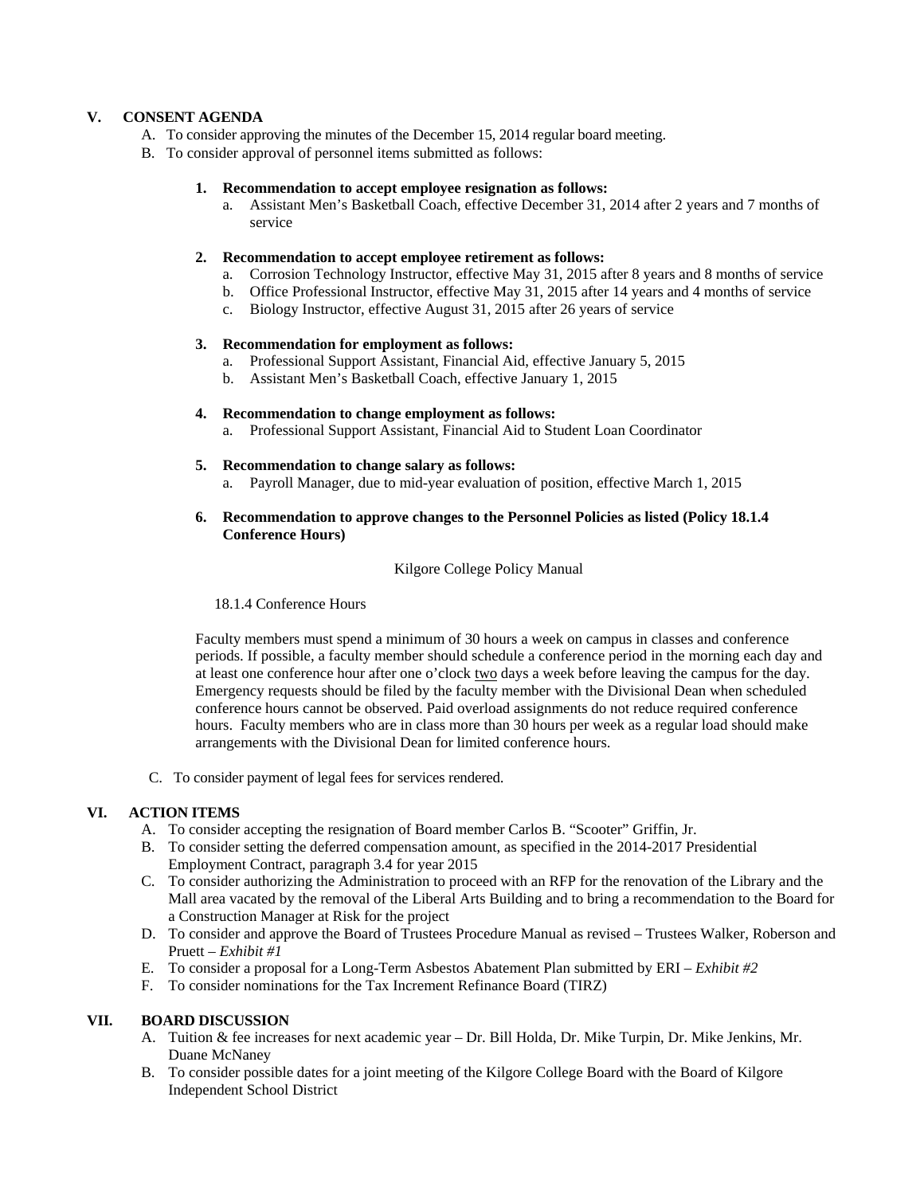## **V. CONSENT AGENDA**

- A. To consider approving the minutes of the December 15, 2014 regular board meeting.
- B. To consider approval of personnel items submitted as follows:

## **1. Recommendation to accept employee resignation as follows:**

a. Assistant Men's Basketball Coach, effective December 31, 2014 after 2 years and 7 months of service

### **2. Recommendation to accept employee retirement as follows:**

- a. Corrosion Technology Instructor, effective May 31, 2015 after 8 years and 8 months of service
- b. Office Professional Instructor, effective May 31, 2015 after 14 years and 4 months of service
- c. Biology Instructor, effective August 31, 2015 after 26 years of service

## **3. Recommendation for employment as follows:**

- a. Professional Support Assistant, Financial Aid, effective January 5, 2015
- b. Assistant Men's Basketball Coach, effective January 1, 2015

## **4. Recommendation to change employment as follows:**

- a. Professional Support Assistant, Financial Aid to Student Loan Coordinator
- **5. Recommendation to change salary as follows:** 
	- a. Payroll Manager, due to mid-year evaluation of position, effective March 1, 2015
- **6. Recommendation to approve changes to the Personnel Policies as listed (Policy 18.1.4 Conference Hours)**

Kilgore College Policy Manual

## 18.1.4 Conference Hours

 Faculty members must spend a minimum of 30 hours a week on campus in classes and conference periods. If possible, a faculty member should schedule a conference period in the morning each day and at least one conference hour after one o'clock two days a week before leaving the campus for the day. Emergency requests should be filed by the faculty member with the Divisional Dean when scheduled conference hours cannot be observed. Paid overload assignments do not reduce required conference hours. Faculty members who are in class more than 30 hours per week as a regular load should make arrangements with the Divisional Dean for limited conference hours.

C. To consider payment of legal fees for services rendered.

# **VI. ACTION ITEMS**

- A. To consider accepting the resignation of Board member Carlos B. "Scooter" Griffin, Jr.
- B. To consider setting the deferred compensation amount, as specified in the 2014-2017 Presidential Employment Contract, paragraph 3.4 for year 2015
- C. To consider authorizing the Administration to proceed with an RFP for the renovation of the Library and the Mall area vacated by the removal of the Liberal Arts Building and to bring a recommendation to the Board for a Construction Manager at Risk for the project
- D. To consider and approve the Board of Trustees Procedure Manual as revised Trustees Walker, Roberson and Pruett – *Exhibit #1*
- E. To consider a proposal for a Long-Term Asbestos Abatement Plan submitted by ERI *Exhibit #2*
- F. To consider nominations for the Tax Increment Refinance Board (TIRZ)

# **VII. BOARD DISCUSSION**

- A. Tuition & fee increases for next academic year Dr. Bill Holda, Dr. Mike Turpin, Dr. Mike Jenkins, Mr. Duane McNaney
- B. To consider possible dates for a joint meeting of the Kilgore College Board with the Board of Kilgore Independent School District